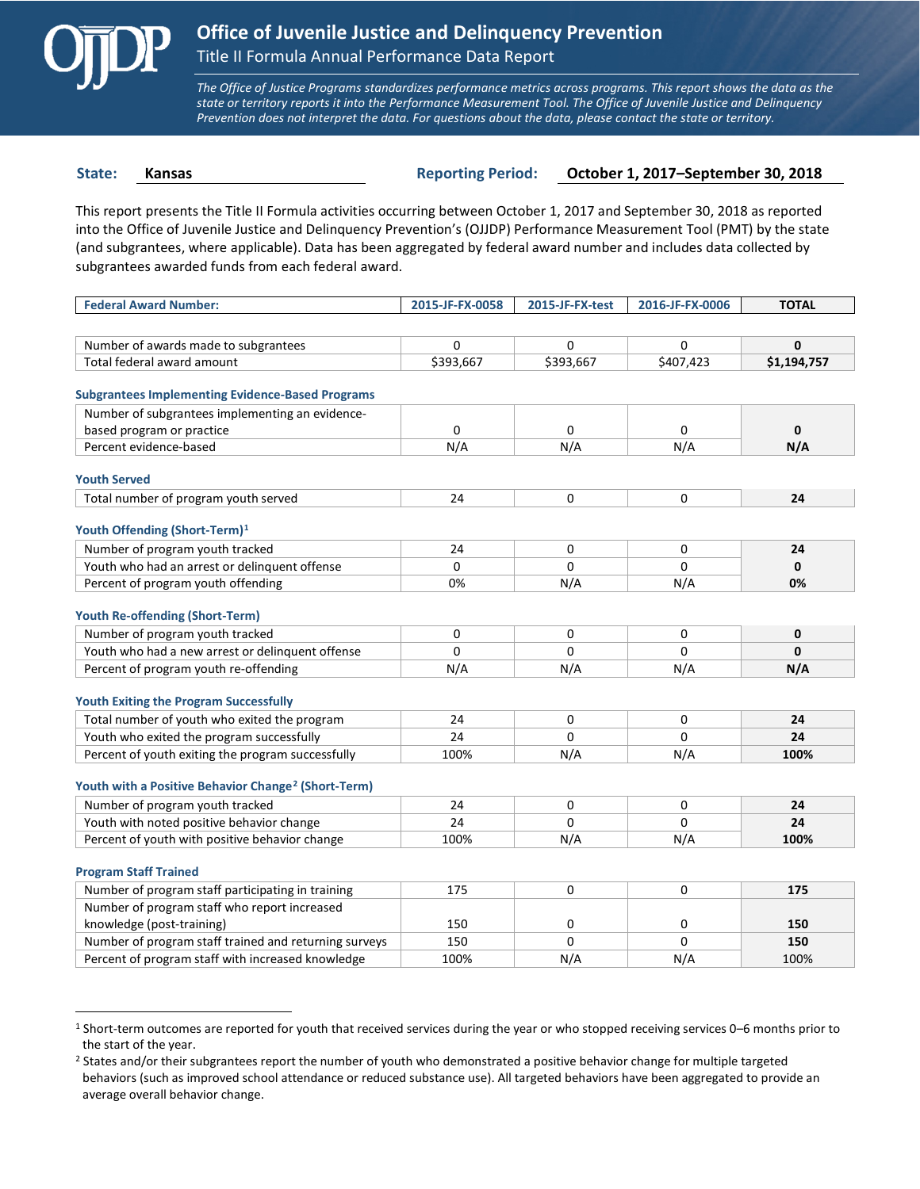

 $\overline{a}$ 

*The Office of Justice Programs standardizes performance metrics across programs. This report shows the data as the state or territory reports it into the Performance Measurement Tool. The Office of Juvenile Justice and Delinquency Prevention does not interpret the data. For questions about the data, please contact the state or territory.*

**State: Kansas Reporting Period: October 1, 2017–September 30, 2018**

This report presents the Title II Formula activities occurring between October 1, 2017 and September 30, 2018 as reported into the Office of Juvenile Justice and Delinquency Prevention's (OJJDP) Performance Measurement Tool (PMT) by the state (and subgrantees, where applicable). Data has been aggregated by federal award number and includes data collected by subgrantees awarded funds from each federal award.

| <b>Federal Award Number:</b>                                    | 2015-JF-FX-0058 | 2015-JF-FX-test | 2016-JF-FX-0006 | <b>TOTAL</b> |
|-----------------------------------------------------------------|-----------------|-----------------|-----------------|--------------|
|                                                                 |                 |                 |                 |              |
| Number of awards made to subgrantees                            | 0               | 0               | 0               | $\mathbf{0}$ |
| Total federal award amount                                      | \$393,667       | \$393,667       | \$407,423       | \$1,194,757  |
|                                                                 |                 |                 |                 |              |
| <b>Subgrantees Implementing Evidence-Based Programs</b>         |                 |                 |                 |              |
| Number of subgrantees implementing an evidence-                 |                 |                 |                 |              |
| based program or practice                                       | $\Omega$        | $\Omega$        | 0               | $\mathbf 0$  |
| Percent evidence-based                                          | N/A             | N/A             | N/A             | N/A          |
| <b>Youth Served</b>                                             |                 |                 |                 |              |
| Total number of program youth served                            | 24              | 0               | 0               | 24           |
|                                                                 |                 |                 |                 |              |
| Youth Offending (Short-Term) <sup>1</sup>                       |                 |                 |                 |              |
| Number of program youth tracked                                 | 24              | 0               | 0               | 24           |
| Youth who had an arrest or delinquent offense                   | $\Omega$        | $\Omega$        | 0               | $\mathbf{0}$ |
| Percent of program youth offending                              | 0%              | N/A             | N/A             | 0%           |
|                                                                 |                 |                 |                 |              |
| <b>Youth Re-offending (Short-Term)</b>                          |                 |                 |                 |              |
| Number of program youth tracked                                 | 0               | 0               | 0               | $\mathbf 0$  |
| Youth who had a new arrest or delinguent offense                | $\Omega$        | $\Omega$        | 0               | $\mathbf{0}$ |
| Percent of program youth re-offending                           | N/A             | N/A             | N/A             | N/A          |
| <b>Youth Exiting the Program Successfully</b>                   |                 |                 |                 |              |
| Total number of youth who exited the program                    | 24              | 0               | 0               | 24           |
| Youth who exited the program successfully                       | 24              | $\Omega$        | 0               | 24           |
| Percent of youth exiting the program successfully               | 100%            | N/A             | N/A             | 100%         |
|                                                                 |                 |                 |                 |              |
| Youth with a Positive Behavior Change <sup>2</sup> (Short-Term) |                 |                 |                 |              |
| Number of program youth tracked                                 | 24              | 0               | 0               | 24           |
| Youth with noted positive behavior change                       | 24              | $\Omega$        | $\Omega$        | 24           |
| Percent of youth with positive behavior change                  | 100%            | N/A             | N/A             | 100%         |
|                                                                 |                 |                 |                 |              |
| <b>Program Staff Trained</b>                                    |                 |                 |                 |              |
| Number of program staff participating in training               | 175             | 0               | 0               | 175          |
| Number of program staff who report increased                    |                 |                 |                 |              |
| knowledge (post-training)                                       | 150             | 0               | 0               | 150          |
| Number of program staff trained and returning surveys           | 150             | $\Omega$        | 0               | 150          |
| Percent of program staff with increased knowledge               | 100%            | N/A             | N/A             | 100%         |

<span id="page-0-0"></span><sup>1</sup> Short-term outcomes are reported for youth that received services during the year or who stopped receiving services 0–6 months prior to the start of the year.

<span id="page-0-1"></span><sup>&</sup>lt;sup>2</sup> States and/or their subgrantees report the number of youth who demonstrated a positive behavior change for multiple targeted behaviors (such as improved school attendance or reduced substance use). All targeted behaviors have been aggregated to provide an average overall behavior change.